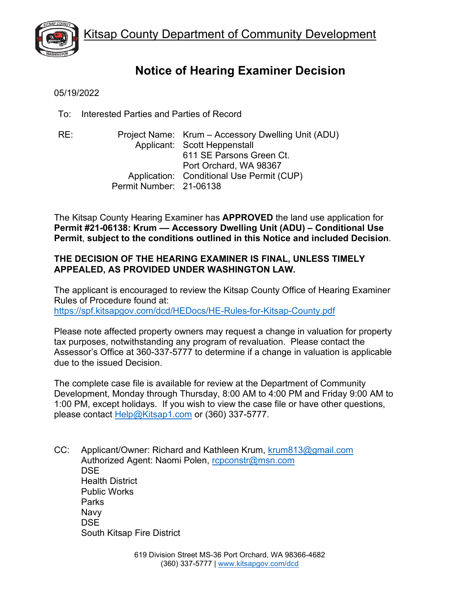

# **Notice of Hearing Examiner Decision**

05/19/2022

To: Interested Parties and Parties of Record

RE: Project Name: Krum – Accessory Dwelling Unit (ADU) Applicant: Scott Heppenstall 611 SE Parsons Green Ct. Port Orchard, WA 98367 Application: Conditional Use Permit (CUP) Permit Number: 21-06138

The Kitsap County Hearing Examiner has **APPROVED** the land use application for **Permit #21-06138: Krum –– Accessory Dwelling Unit (ADU) – Conditional Use Permit**, **subject to the conditions outlined in this Notice and included Decision**.

# **THE DECISION OF THE HEARING EXAMINER IS FINAL, UNLESS TIMELY APPEALED, AS PROVIDED UNDER WASHINGTON LAW.**

The applicant is encouraged to review the Kitsap County Office of Hearing Examiner Rules of Procedure found at: <https://spf.kitsapgov.com/dcd/HEDocs/HE-Rules-for-Kitsap-County.pdf>

Please note affected property owners may request a change in valuation for property tax purposes, notwithstanding any program of revaluation. Please contact the Assessor's Office at 360-337-5777 to determine if a change in valuation is applicable due to the issued Decision.

The complete case file is available for review at the Department of Community Development, Monday through Thursday, 8:00 AM to 4:00 PM and Friday 9:00 AM to 1:00 PM, except holidays. If you wish to view the case file or have other questions, please contact [Help@Kitsap1.com](mailto:Help@Kitsap1.com) or (360) 337-5777.

CC: Applicant/Owner: Richard and Kathleen Krum, [krum813@gmail.com](mailto:krum813@gmail.com) Authorized Agent: Naomi Polen, [rcpconstr@msn.com](mailto:rcpconstr@msn.com) **DSE** Health District Public Works Parks Navy DSE South Kitsap Fire District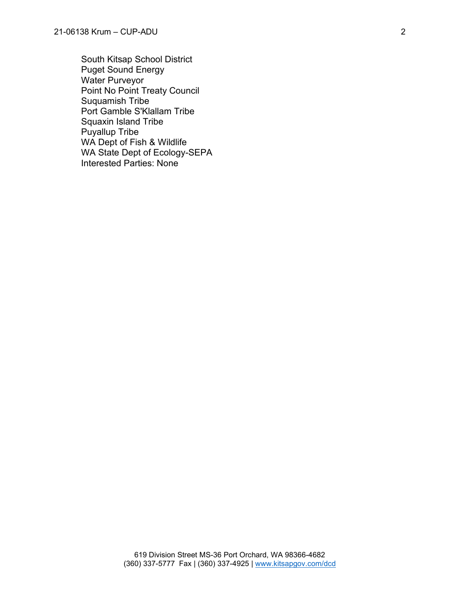South Kitsap School District Puget Sound Energy Water Purveyor Point No Point Treaty Council Suquamish Tribe Port Gamble S'Klallam Tribe Squaxin Island Tribe Puyallup Tribe WA Dept of Fish & Wildlife WA State Dept of Ecology-SEPA Interested Parties: None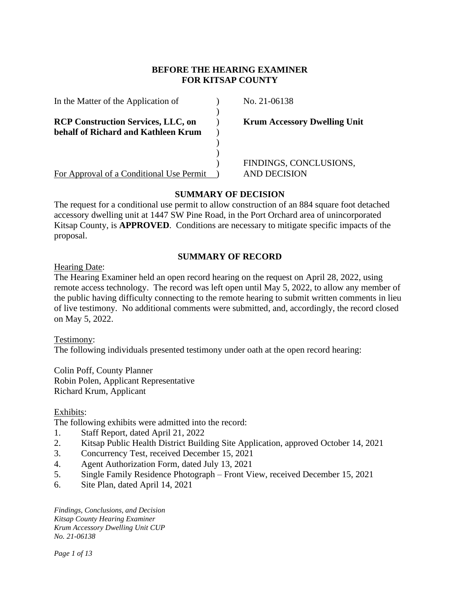## **BEFORE THE HEARING EXAMINER FOR KITSAP COUNTY**

| In the Matter of the Application of                                              | No. 21-06138                        |
|----------------------------------------------------------------------------------|-------------------------------------|
| <b>RCP Construction Services, LLC, on</b><br>behalf of Richard and Kathleen Krum | <b>Krum Accessory Dwelling Unit</b> |
|                                                                                  |                                     |
|                                                                                  | FINDINGS, CONCLUSIONS,              |
| For Approval of a Conditional Use Permit                                         | AND DECISION                        |

## **SUMMARY OF DECISION**

The request for a conditional use permit to allow construction of an 884 square foot detached accessory dwelling unit at 1447 SW Pine Road, in the Port Orchard area of unincorporated Kitsap County, is **APPROVED**. Conditions are necessary to mitigate specific impacts of the proposal.

### **SUMMARY OF RECORD**

Hearing Date:

The Hearing Examiner held an open record hearing on the request on April 28, 2022, using remote access technology. The record was left open until May 5, 2022, to allow any member of the public having difficulty connecting to the remote hearing to submit written comments in lieu of live testimony. No additional comments were submitted, and, accordingly, the record closed on May 5, 2022.

Testimony:

The following individuals presented testimony under oath at the open record hearing:

Colin Poff, County Planner Robin Polen, Applicant Representative Richard Krum, Applicant

#### Exhibits:

The following exhibits were admitted into the record:

- 1. Staff Report, dated April 21, 2022
- 2. Kitsap Public Health District Building Site Application, approved October 14, 2021
- 3. Concurrency Test, received December 15, 2021
- 4. Agent Authorization Form, dated July 13, 2021
- 5. Single Family Residence Photograph Front View, received December 15, 2021
- 6. Site Plan, dated April 14, 2021

*Findings, Conclusions, and Decision Kitsap County Hearing Examiner Krum Accessory Dwelling Unit CUP No. 21-06138*

*Page 1 of 13*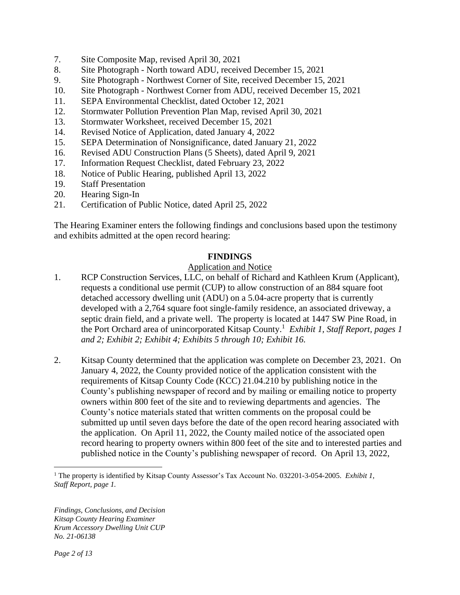- 7. Site Composite Map, revised April 30, 2021
- 8. Site Photograph North toward ADU, received December 15, 2021
- 9. Site Photograph Northwest Corner of Site, received December 15, 2021
- 10. Site Photograph Northwest Corner from ADU, received December 15, 2021
- 11. SEPA Environmental Checklist, dated October 12, 2021
- 12. Stormwater Pollution Prevention Plan Map, revised April 30, 2021
- 13. Stormwater Worksheet, received December 15, 2021
- 14. Revised Notice of Application, dated January 4, 2022
- 15. SEPA Determination of Nonsignificance, dated January 21, 2022
- 16. Revised ADU Construction Plans (5 Sheets), dated April 9, 2021
- 17. Information Request Checklist, dated February 23, 2022
- 18. Notice of Public Hearing, published April 13, 2022
- 19. Staff Presentation
- 20. Hearing Sign-In
- 21. Certification of Public Notice, dated April 25, 2022

The Hearing Examiner enters the following findings and conclusions based upon the testimony and exhibits admitted at the open record hearing:

#### **FINDINGS**

#### Application and Notice

- 1. RCP Construction Services, LLC, on behalf of Richard and Kathleen Krum (Applicant), requests a conditional use permit (CUP) to allow construction of an 884 square foot detached accessory dwelling unit (ADU) on a 5.04-acre property that is currently developed with a 2,764 square foot single-family residence, an associated driveway, a septic drain field, and a private well. The property is located at 1447 SW Pine Road, in the Port Orchard area of unincorporated Kitsap County. 1 *Exhibit 1, Staff Report, pages 1 and 2; Exhibit 2; Exhibit 4; Exhibits 5 through 10; Exhibit 16.*
- 2. Kitsap County determined that the application was complete on December 23, 2021. On January 4, 2022, the County provided notice of the application consistent with the requirements of Kitsap County Code (KCC) 21.04.210 by publishing notice in the County's publishing newspaper of record and by mailing or emailing notice to property owners within 800 feet of the site and to reviewing departments and agencies. The County's notice materials stated that written comments on the proposal could be submitted up until seven days before the date of the open record hearing associated with the application. On April 11, 2022, the County mailed notice of the associated open record hearing to property owners within 800 feet of the site and to interested parties and published notice in the County's publishing newspaper of record. On April 13, 2022,

<sup>1</sup> The property is identified by Kitsap County Assessor's Tax Account No. 032201-3-054-2005. *Exhibit 1, Staff Report, page 1.*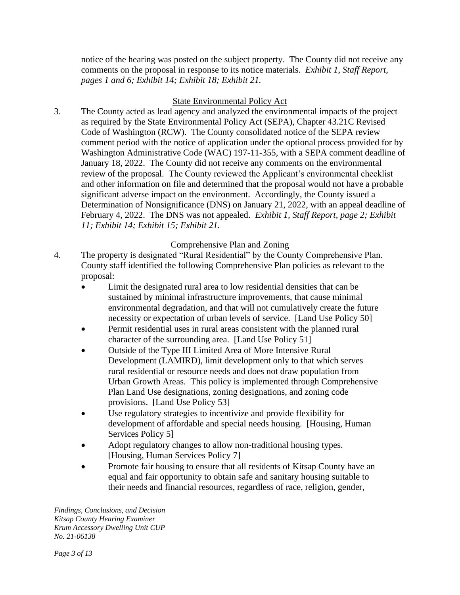notice of the hearing was posted on the subject property. The County did not receive any comments on the proposal in response to its notice materials. *Exhibit 1, Staff Report, pages 1 and 6; Exhibit 14; Exhibit 18; Exhibit 21.* 

# State Environmental Policy Act

3. The County acted as lead agency and analyzed the environmental impacts of the project as required by the State Environmental Policy Act (SEPA), Chapter 43.21C Revised Code of Washington (RCW). The County consolidated notice of the SEPA review comment period with the notice of application under the optional process provided for by Washington Administrative Code (WAC) 197-11-355, with a SEPA comment deadline of January 18, 2022. The County did not receive any comments on the environmental review of the proposal. The County reviewed the Applicant's environmental checklist and other information on file and determined that the proposal would not have a probable significant adverse impact on the environment. Accordingly, the County issued a Determination of Nonsignificance (DNS) on January 21, 2022, with an appeal deadline of February 4, 2022. The DNS was not appealed. *Exhibit 1, Staff Report, page 2; Exhibit 11; Exhibit 14; Exhibit 15; Exhibit 21.*

# Comprehensive Plan and Zoning

- 4. The property is designated "Rural Residential" by the County Comprehensive Plan. County staff identified the following Comprehensive Plan policies as relevant to the proposal:
	- Limit the designated rural area to low residential densities that can be sustained by minimal infrastructure improvements, that cause minimal environmental degradation, and that will not cumulatively create the future necessity or expectation of urban levels of service. [Land Use Policy 50]
	- Permit residential uses in rural areas consistent with the planned rural character of the surrounding area. [Land Use Policy 51]
	- Outside of the Type III Limited Area of More Intensive Rural Development (LAMIRD), limit development only to that which serves rural residential or resource needs and does not draw population from Urban Growth Areas. This policy is implemented through Comprehensive Plan Land Use designations, zoning designations, and zoning code provisions. [Land Use Policy 53]
	- Use regulatory strategies to incentivize and provide flexibility for development of affordable and special needs housing. [Housing, Human Services Policy 5]
	- Adopt regulatory changes to allow non-traditional housing types. [Housing, Human Services Policy 7]
	- Promote fair housing to ensure that all residents of Kitsap County have an equal and fair opportunity to obtain safe and sanitary housing suitable to their needs and financial resources, regardless of race, religion, gender,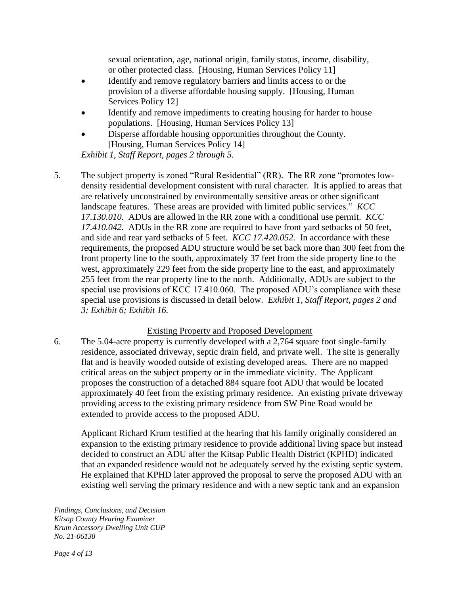sexual orientation, age, national origin, family status, income, disability, or other protected class. [Housing, Human Services Policy 11]

- Identify and remove regulatory barriers and limits access to or the provision of a diverse affordable housing supply. [Housing, Human Services Policy 12]
- Identify and remove impediments to creating housing for harder to house populations. [Housing, Human Services Policy 13]
- Disperse affordable housing opportunities throughout the County. [Housing, Human Services Policy 14]

*Exhibit 1, Staff Report, pages 2 through 5.*

5. The subject property is zoned "Rural Residential" (RR). The RR zone "promotes lowdensity residential development consistent with rural character. It is applied to areas that are relatively unconstrained by environmentally sensitive areas or other significant landscape features. These areas are provided with limited public services." *KCC 17.130.010.* ADUs are allowed in the RR zone with a conditional use permit. *KCC 17.410.042.* ADUs in the RR zone are required to have front yard setbacks of 50 feet, and side and rear yard setbacks of 5 feet. *KCC 17.420.052.* In accordance with these requirements, the proposed ADU structure would be set back more than 300 feet from the front property line to the south, approximately 37 feet from the side property line to the west, approximately 229 feet from the side property line to the east, and approximately 255 feet from the rear property line to the north. Additionally, ADUs are subject to the special use provisions of KCC 17.410.060. The proposed ADU's compliance with these special use provisions is discussed in detail below. *Exhibit 1, Staff Report, pages 2 and 3; Exhibit 6; Exhibit 16.*

## Existing Property and Proposed Development

6. The 5.04-acre property is currently developed with a 2,764 square foot single-family residence, associated driveway, septic drain field, and private well. The site is generally flat and is heavily wooded outside of existing developed areas. There are no mapped critical areas on the subject property or in the immediate vicinity. The Applicant proposes the construction of a detached 884 square foot ADU that would be located approximately 40 feet from the existing primary residence. An existing private driveway providing access to the existing primary residence from SW Pine Road would be extended to provide access to the proposed ADU.

Applicant Richard Krum testified at the hearing that his family originally considered an expansion to the existing primary residence to provide additional living space but instead decided to construct an ADU after the Kitsap Public Health District (KPHD) indicated that an expanded residence would not be adequately served by the existing septic system. He explained that KPHD later approved the proposal to serve the proposed ADU with an existing well serving the primary residence and with a new septic tank and an expansion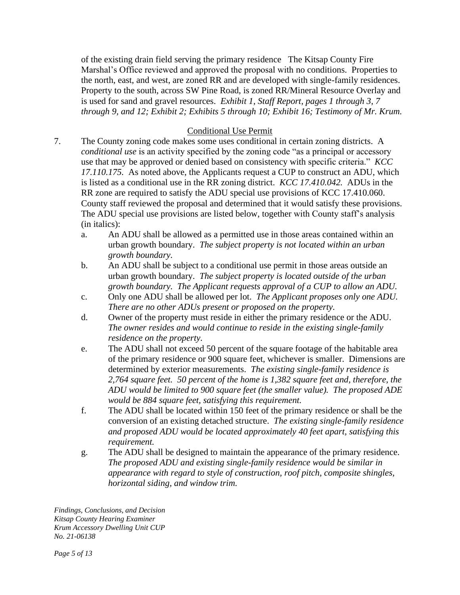of the existing drain field serving the primary residence The Kitsap County Fire Marshal's Office reviewed and approved the proposal with no conditions. Properties to the north, east, and west, are zoned RR and are developed with single-family residences. Property to the south, across SW Pine Road, is zoned RR/Mineral Resource Overlay and is used for sand and gravel resources. *Exhibit 1, Staff Report, pages 1 through 3, 7 through 9, and 12; Exhibit 2; Exhibits 5 through 10; Exhibit 16; Testimony of Mr. Krum.*

# Conditional Use Permit

- 7. The County zoning code makes some uses conditional in certain zoning districts. A *conditional use* is an activity specified by the zoning code "as a principal or accessory use that may be approved or denied based on consistency with specific criteria." *KCC 17.110.175.* As noted above, the Applicants request a CUP to construct an ADU, which is listed as a conditional use in the RR zoning district. *KCC 17.410.042.* ADUs in the RR zone are required to satisfy the ADU special use provisions of KCC 17.410.060. County staff reviewed the proposal and determined that it would satisfy these provisions. The ADU special use provisions are listed below, together with County staff's analysis (in italics):
	- a. An ADU shall be allowed as a permitted use in those areas contained within an urban growth boundary. *The subject property is not located within an urban growth boundary.*
	- b. An ADU shall be subject to a conditional use permit in those areas outside an urban growth boundary. *The subject property is located outside of the urban growth boundary. The Applicant requests approval of a CUP to allow an ADU.*
	- c. Only one ADU shall be allowed per lot. *The Applicant proposes only one ADU. There are no other ADUs present or proposed on the property.*
	- d. Owner of the property must reside in either the primary residence or the ADU. *The owner resides and would continue to reside in the existing single-family residence on the property.*
	- e. The ADU shall not exceed 50 percent of the square footage of the habitable area of the primary residence or 900 square feet, whichever is smaller. Dimensions are determined by exterior measurements. *The existing single-family residence is 2,764 square feet. 50 percent of the home is 1,382 square feet and, therefore, the ADU would be limited to 900 square feet (the smaller value). The proposed ADE would be 884 square feet, satisfying this requirement.*
	- f. The ADU shall be located within 150 feet of the primary residence or shall be the conversion of an existing detached structure. *The existing single-family residence and proposed ADU would be located approximately 40 feet apart, satisfying this requirement.*
	- g. The ADU shall be designed to maintain the appearance of the primary residence. *The proposed ADU and existing single-family residence would be similar in appearance with regard to style of construction, roof pitch, composite shingles, horizontal siding, and window trim.*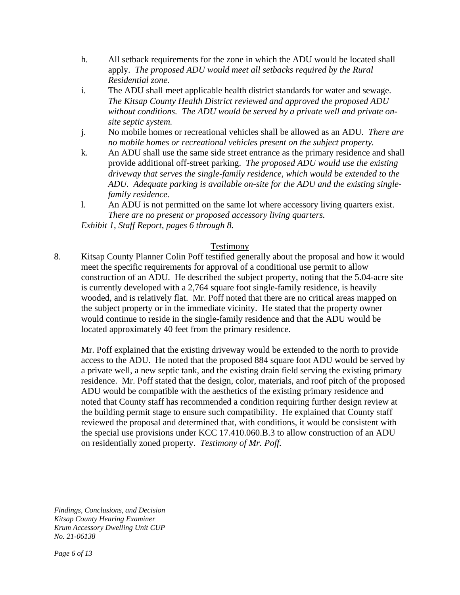- h. All setback requirements for the zone in which the ADU would be located shall apply. *The proposed ADU would meet all setbacks required by the Rural Residential zone.*
- i. The ADU shall meet applicable health district standards for water and sewage. *The Kitsap County Health District reviewed and approved the proposed ADU without conditions. The ADU would be served by a private well and private onsite septic system.*
- j. No mobile homes or recreational vehicles shall be allowed as an ADU. *There are no mobile homes or recreational vehicles present on the subject property.*
- k. An ADU shall use the same side street entrance as the primary residence and shall provide additional off-street parking. *The proposed ADU would use the existing driveway that serves the single-family residence, which would be extended to the ADU. Adequate parking is available on-site for the ADU and the existing singlefamily residence.*
- l. An ADU is not permitted on the same lot where accessory living quarters exist. *There are no present or proposed accessory living quarters.*

*Exhibit 1, Staff Report, pages 6 through 8.*

### Testimony

8. Kitsap County Planner Colin Poff testified generally about the proposal and how it would meet the specific requirements for approval of a conditional use permit to allow construction of an ADU. He described the subject property, noting that the 5.04-acre site is currently developed with a 2,764 square foot single-family residence, is heavily wooded, and is relatively flat. Mr. Poff noted that there are no critical areas mapped on the subject property or in the immediate vicinity. He stated that the property owner would continue to reside in the single-family residence and that the ADU would be located approximately 40 feet from the primary residence.

Mr. Poff explained that the existing driveway would be extended to the north to provide access to the ADU. He noted that the proposed 884 square foot ADU would be served by a private well, a new septic tank, and the existing drain field serving the existing primary residence. Mr. Poff stated that the design, color, materials, and roof pitch of the proposed ADU would be compatible with the aesthetics of the existing primary residence and noted that County staff has recommended a condition requiring further design review at the building permit stage to ensure such compatibility. He explained that County staff reviewed the proposal and determined that, with conditions, it would be consistent with the special use provisions under KCC 17.410.060.B.3 to allow construction of an ADU on residentially zoned property. *Testimony of Mr. Poff.*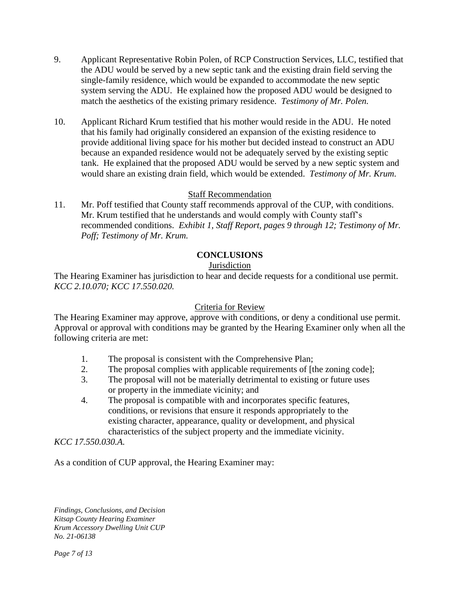- 9. Applicant Representative Robin Polen, of RCP Construction Services, LLC, testified that the ADU would be served by a new septic tank and the existing drain field serving the single-family residence, which would be expanded to accommodate the new septic system serving the ADU. He explained how the proposed ADU would be designed to match the aesthetics of the existing primary residence. *Testimony of Mr. Polen.*
- 10. Applicant Richard Krum testified that his mother would reside in the ADU. He noted that his family had originally considered an expansion of the existing residence to provide additional living space for his mother but decided instead to construct an ADU because an expanded residence would not be adequately served by the existing septic tank. He explained that the proposed ADU would be served by a new septic system and would share an existing drain field, which would be extended. *Testimony of Mr. Krum.*

### Staff Recommendation

11. Mr. Poff testified that County staff recommends approval of the CUP, with conditions. Mr. Krum testified that he understands and would comply with County staff's recommended conditions. *Exhibit 1, Staff Report, pages 9 through 12; Testimony of Mr. Poff; Testimony of Mr. Krum.*

## **CONCLUSIONS**

### **Jurisdiction**

The Hearing Examiner has jurisdiction to hear and decide requests for a conditional use permit. *KCC 2.10.070; KCC 17.550.020.*

#### Criteria for Review

The Hearing Examiner may approve, approve with conditions, or deny a conditional use permit. Approval or approval with conditions may be granted by the Hearing Examiner only when all the following criteria are met:

- 1. The proposal is consistent with the Comprehensive Plan;
- 2. The proposal complies with applicable requirements of [the zoning code];
- 3. The proposal will not be materially detrimental to existing or future uses or property in the immediate vicinity; and
- 4. The proposal is compatible with and incorporates specific features, conditions, or revisions that ensure it responds appropriately to the existing character, appearance, quality or development, and physical characteristics of the subject property and the immediate vicinity.

*KCC 17.550.030.A.*

As a condition of CUP approval, the Hearing Examiner may: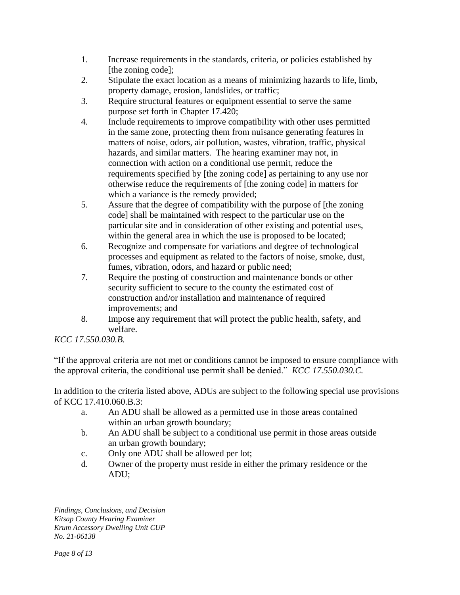- 1. Increase requirements in the standards, criteria, or policies established by [the zoning code];
- 2. Stipulate the exact location as a means of minimizing hazards to life, limb, property damage, erosion, landslides, or traffic;
- 3. Require structural features or equipment essential to serve the same purpose set forth in Chapter 17.420;
- 4. Include requirements to improve compatibility with other uses permitted in the same zone, protecting them from nuisance generating features in matters of noise, odors, air pollution, wastes, vibration, traffic, physical hazards, and similar matters. The hearing examiner may not, in connection with action on a conditional use permit, reduce the requirements specified by [the zoning code] as pertaining to any use nor otherwise reduce the requirements of [the zoning code] in matters for which a variance is the remedy provided;
- 5. Assure that the degree of compatibility with the purpose of [the zoning code] shall be maintained with respect to the particular use on the particular site and in consideration of other existing and potential uses, within the general area in which the use is proposed to be located;
- 6. Recognize and compensate for variations and degree of technological processes and equipment as related to the factors of noise, smoke, dust, fumes, vibration, odors, and hazard or public need;
- 7. Require the posting of construction and maintenance bonds or other security sufficient to secure to the county the estimated cost of construction and/or installation and maintenance of required improvements; and
- 8. Impose any requirement that will protect the public health, safety, and welfare.

*KCC 17.550.030.B.*

"If the approval criteria are not met or conditions cannot be imposed to ensure compliance with the approval criteria, the conditional use permit shall be denied." *KCC 17.550.030.C.*

In addition to the criteria listed above, ADUs are subject to the following special use provisions of KCC 17.410.060.B.3:

- a. An ADU shall be allowed as a permitted use in those areas contained within an urban growth boundary;
- b. An ADU shall be subject to a conditional use permit in those areas outside an urban growth boundary;
- c. Only one ADU shall be allowed per lot;
- d. Owner of the property must reside in either the primary residence or the ADU;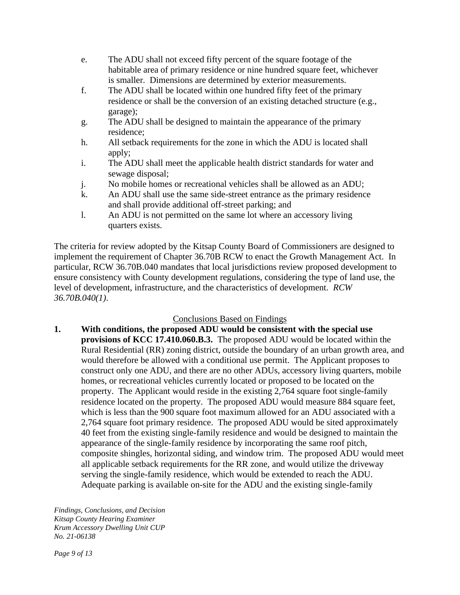- e. The ADU shall not exceed fifty percent of the square footage of the habitable area of primary residence or nine hundred square feet, whichever is smaller. Dimensions are determined by exterior measurements.
- f. The ADU shall be located within one hundred fifty feet of the primary residence or shall be the conversion of an existing detached structure (e.g., garage);
- g. The ADU shall be designed to maintain the appearance of the primary residence;
- h. All setback requirements for the zone in which the ADU is located shall apply;
- i. The ADU shall meet the applicable health district standards for water and sewage disposal;
- j. No mobile homes or recreational vehicles shall be allowed as an ADU;
- k. An ADU shall use the same side-street entrance as the primary residence and shall provide additional off-street parking; and
- l. An ADU is not permitted on the same lot where an accessory living quarters exists.

The criteria for review adopted by the Kitsap County Board of Commissioners are designed to implement the requirement of Chapter 36.70B RCW to enact the Growth Management Act. In particular, RCW 36.70B.040 mandates that local jurisdictions review proposed development to ensure consistency with County development regulations, considering the type of land use, the level of development, infrastructure, and the characteristics of development. *RCW 36.70B.040(1)*.

# Conclusions Based on Findings

**1. With conditions, the proposed ADU would be consistent with the special use provisions of KCC 17.410.060.B.3.** The proposed ADU would be located within the Rural Residential (RR) zoning district, outside the boundary of an urban growth area, and would therefore be allowed with a conditional use permit. The Applicant proposes to construct only one ADU, and there are no other ADUs, accessory living quarters, mobile homes, or recreational vehicles currently located or proposed to be located on the property. The Applicant would reside in the existing 2,764 square foot single-family residence located on the property. The proposed ADU would measure 884 square feet, which is less than the 900 square foot maximum allowed for an ADU associated with a 2,764 square foot primary residence. The proposed ADU would be sited approximately 40 feet from the existing single-family residence and would be designed to maintain the appearance of the single-family residence by incorporating the same roof pitch, composite shingles, horizontal siding, and window trim. The proposed ADU would meet all applicable setback requirements for the RR zone, and would utilize the driveway serving the single-family residence, which would be extended to reach the ADU. Adequate parking is available on-site for the ADU and the existing single-family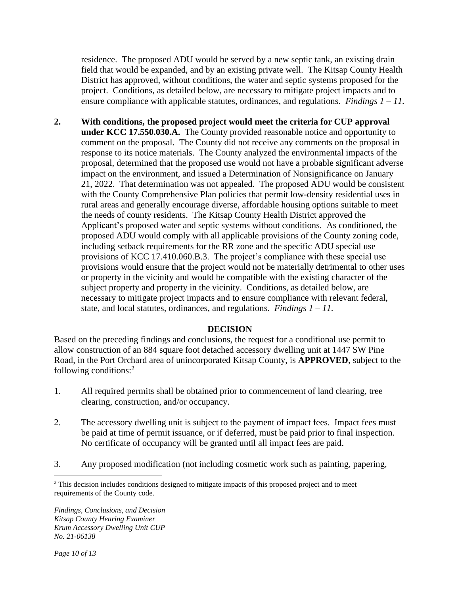residence. The proposed ADU would be served by a new septic tank, an existing drain field that would be expanded, and by an existing private well. The Kitsap County Health District has approved, without conditions, the water and septic systems proposed for the project. Conditions, as detailed below, are necessary to mitigate project impacts and to ensure compliance with applicable statutes, ordinances, and regulations. *Findings 1 – 11.*

**2. With conditions, the proposed project would meet the criteria for CUP approval under KCC 17.550.030.A.** The County provided reasonable notice and opportunity to comment on the proposal. The County did not receive any comments on the proposal in response to its notice materials. The County analyzed the environmental impacts of the proposal, determined that the proposed use would not have a probable significant adverse impact on the environment, and issued a Determination of Nonsignificance on January 21, 2022. That determination was not appealed. The proposed ADU would be consistent with the County Comprehensive Plan policies that permit low-density residential uses in rural areas and generally encourage diverse, affordable housing options suitable to meet the needs of county residents. The Kitsap County Health District approved the Applicant's proposed water and septic systems without conditions. As conditioned, the proposed ADU would comply with all applicable provisions of the County zoning code, including setback requirements for the RR zone and the specific ADU special use provisions of KCC 17.410.060.B.3. The project's compliance with these special use provisions would ensure that the project would not be materially detrimental to other uses or property in the vicinity and would be compatible with the existing character of the subject property and property in the vicinity. Conditions, as detailed below, are necessary to mitigate project impacts and to ensure compliance with relevant federal, state, and local statutes, ordinances, and regulations. *Findings 1 – 11.*

#### **DECISION**

Based on the preceding findings and conclusions, the request for a conditional use permit to allow construction of an 884 square foot detached accessory dwelling unit at 1447 SW Pine Road, in the Port Orchard area of unincorporated Kitsap County, is **APPROVED**, subject to the following conditions:<sup>2</sup>

- 1. All required permits shall be obtained prior to commencement of land clearing, tree clearing, construction, and/or occupancy.
- 2. The accessory dwelling unit is subject to the payment of impact fees. Impact fees must be paid at time of permit issuance, or if deferred, must be paid prior to final inspection. No certificate of occupancy will be granted until all impact fees are paid.
- 3. Any proposed modification (not including cosmetic work such as painting, papering,

<sup>&</sup>lt;sup>2</sup> This decision includes conditions designed to mitigate impacts of this proposed project and to meet requirements of the County code.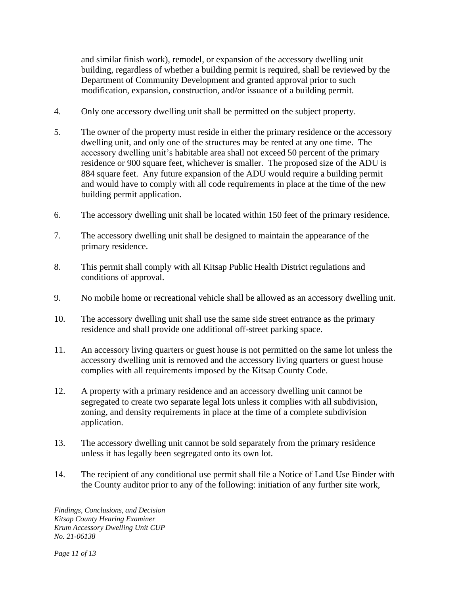and similar finish work), remodel, or expansion of the accessory dwelling unit building, regardless of whether a building permit is required, shall be reviewed by the Department of Community Development and granted approval prior to such modification, expansion, construction, and/or issuance of a building permit.

- 4. Only one accessory dwelling unit shall be permitted on the subject property.
- 5. The owner of the property must reside in either the primary residence or the accessory dwelling unit, and only one of the structures may be rented at any one time. The accessory dwelling unit's habitable area shall not exceed 50 percent of the primary residence or 900 square feet, whichever is smaller. The proposed size of the ADU is 884 square feet. Any future expansion of the ADU would require a building permit and would have to comply with all code requirements in place at the time of the new building permit application.
- 6. The accessory dwelling unit shall be located within 150 feet of the primary residence.
- 7. The accessory dwelling unit shall be designed to maintain the appearance of the primary residence.
- 8. This permit shall comply with all Kitsap Public Health District regulations and conditions of approval.
- 9. No mobile home or recreational vehicle shall be allowed as an accessory dwelling unit.
- 10. The accessory dwelling unit shall use the same side street entrance as the primary residence and shall provide one additional off-street parking space.
- 11. An accessory living quarters or guest house is not permitted on the same lot unless the accessory dwelling unit is removed and the accessory living quarters or guest house complies with all requirements imposed by the Kitsap County Code.
- 12. A property with a primary residence and an accessory dwelling unit cannot be segregated to create two separate legal lots unless it complies with all subdivision, zoning, and density requirements in place at the time of a complete subdivision application.
- 13. The accessory dwelling unit cannot be sold separately from the primary residence unless it has legally been segregated onto its own lot.
- 14. The recipient of any conditional use permit shall file a Notice of Land Use Binder with the County auditor prior to any of the following: initiation of any further site work,

*Findings, Conclusions, and Decision Kitsap County Hearing Examiner Krum Accessory Dwelling Unit CUP No. 21-06138*

*Page 11 of 13*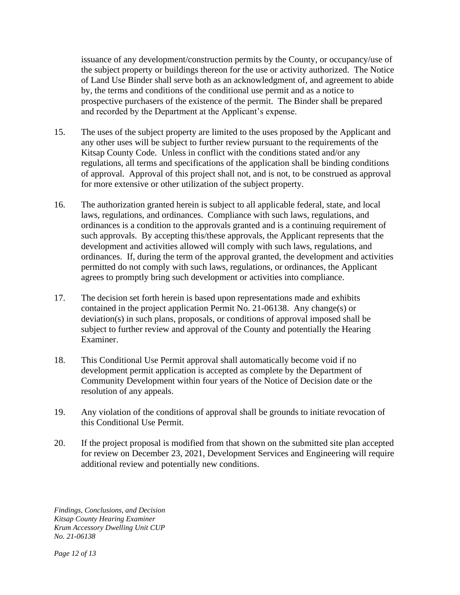issuance of any development/construction permits by the County, or occupancy/use of the subject property or buildings thereon for the use or activity authorized. The Notice of Land Use Binder shall serve both as an acknowledgment of, and agreement to abide by, the terms and conditions of the conditional use permit and as a notice to prospective purchasers of the existence of the permit. The Binder shall be prepared and recorded by the Department at the Applicant's expense.

- 15. The uses of the subject property are limited to the uses proposed by the Applicant and any other uses will be subject to further review pursuant to the requirements of the Kitsap County Code. Unless in conflict with the conditions stated and/or any regulations, all terms and specifications of the application shall be binding conditions of approval. Approval of this project shall not, and is not, to be construed as approval for more extensive or other utilization of the subject property.
- 16. The authorization granted herein is subject to all applicable federal, state, and local laws, regulations, and ordinances. Compliance with such laws, regulations, and ordinances is a condition to the approvals granted and is a continuing requirement of such approvals. By accepting this/these approvals, the Applicant represents that the development and activities allowed will comply with such laws, regulations, and ordinances. If, during the term of the approval granted, the development and activities permitted do not comply with such laws, regulations, or ordinances, the Applicant agrees to promptly bring such development or activities into compliance.
- 17. The decision set forth herein is based upon representations made and exhibits contained in the project application Permit No. 21-06138. Any change(s) or deviation(s) in such plans, proposals, or conditions of approval imposed shall be subject to further review and approval of the County and potentially the Hearing Examiner.
- 18. This Conditional Use Permit approval shall automatically become void if no development permit application is accepted as complete by the Department of Community Development within four years of the Notice of Decision date or the resolution of any appeals.
- 19. Any violation of the conditions of approval shall be grounds to initiate revocation of this Conditional Use Permit.
- 20. If the project proposal is modified from that shown on the submitted site plan accepted for review on December 23, 2021, Development Services and Engineering will require additional review and potentially new conditions.

*Findings, Conclusions, and Decision Kitsap County Hearing Examiner Krum Accessory Dwelling Unit CUP No. 21-06138*

*Page 12 of 13*